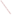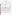## **THE ENVIRONMENTAL TECHNOLOGY VERIFICATION**







# **ETV Joint Verification Statement**

| TECHNOLOGY TYPE: ULTRAVIOLET OPEN-PATH MONITOR                     |                                             |               |              |
|--------------------------------------------------------------------|---------------------------------------------|---------------|--------------|
| <b>APPLICATION:</b>                                                | <b>MONITORING AIR QUALITY</b>               |               |              |
| <b>TECHNOLOGY NAME: Model AR-500 Ultraviolet Open-Path Monitor</b> |                                             |               |              |
| <b>COMPANY:</b>                                                    | Opsis, Inc.                                 |               |              |
| <b>ADDRESS:</b>                                                    | 1165 Lindavista Drive,<br>Suite 112         | <b>PHONE:</b> | 760-752-3005 |
|                                                                    | San Marcos, CA 92069                        | <b>FAX:</b>   | 760-752-3007 |
| <b>WEB SITE:</b><br>E-MAIL:                                        | http://www.opsis.se<br>paulsf86@prodigy.net |               |              |
|                                                                    |                                             |               |              |

The U.S. Environmental Protection Agency (EPA) has created the Environmental Technology Verification (ETV) Program to facilitate the deployment of innovative or improved environmental technologies through performance verification and dissemination of information. The goal of the ETV Program is to further environmental protection by substantially accelerating the acceptance and use of improved and cost-effective technologies. ETV seeks to achieve this goal by providing high quality, peer reviewed data on technology performance to those involved in the design, distribution, financing, permitting, purchase, and use of environmental technologies.

ETV works in partnership with recognized standards and testing organizations; stakeholder groups which consist of buyers, vendor organizations, and permitters; and with the full participation of individual technology developers. The program evaluates the performance of innovative technologies by developing test plans that are responsive to the needs of stakeholders, conducting field or laboratory tests (as appropriate), collecting and analyzing data, and preparing peer reviewed reports. All evaluations are conducted in accordance with rigorous quality assurance protocols to ensure that data of known and adequate quality are generated and that the results are defensible.

The Advanced Monitoring Systems (AMS) Center, one of 12 technology areas under ETV, is operated by Battelle in cooperation with EPA's National Exposure Research Laboratory. AMS has recently evaluated the performance of optical open-path monitors used to determine pollutants in outdoor air. This verification statement provides a summary of the test results for the Opsis AR-500 Ultraviolet Optical Open Path Monitor.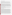#### **VERIFICATION TEST DESCRIPTION**

The verification test described in this report was designed to challenge the AR-500 in a manner similar to that which would be experienced in field operations. An optically transparent gas cell filled with known concentrations of a target gas (ammonia, nitric oxide, or benzene) was inserted into the optical path of the monitor, simulating a condition where the target gas would be present in the ambient air. The monitor was challenged with a target gas, and the resulting measurement was compared to the known concentration of the target gas. The gases were measured in a fixed sequence over three days at a Battelle outdoor test site near West Jefferson, Ohio.

The target gases were measured at different concentrations, path lengths, integration times, and source intensities to assess the minimum detection limit (MDL), source strength linearity, concentration linearity, accuracy, precision, and sensitivity to atmospheric interferences of the AR-500. The MDL was calculated for each target gas by supplying pure nitrogen to the test cell in the optical path of the monitor and taking a series of 25 measurements using an integration time of either 1 or 5 minutes. Source strength linearity was investigated by measuring the effects of reducing the source intensity on the monitor's performance. Concentration linearity was investigated by challenging the monitor with each target gas at path-average concentrations ranging between 12 and 200 ppb. Accuracy and precision of the monitor relative to the gas standards were verified by introducing known concentrations of the target gas into the cell. The effects of atmospheric interfering gases were established by supplying the gas cell with a target gas and varying the distance (path length) between the source and detector. Note that potential sources of the target gases near the test site, such as trains, highway traffic, and local vehicle traffic, could not be controlled. Testing was suspended during obvious periods of source activity, but it is likely that source impacts could not be totally avoided.

Quality assurance (QA) oversight of verification testing was provided by Battelle. Battelle QA staff conducted a technical systems audit and a data quality audit of 10% of the test data. Battelle testing staff conducted a performance evaluation audit, which was reviewed by QA staff. EPA QA staff also conducted an independent technical systems audit of the verification procedures.

### **TECHNOLOGY DESCRIPTION**

The AR-500 ultraviolet differential optical absorption spectroscopy (UV-DOAS) system uses a broad-band Xenon light-source that projects a narrow beam of light across a monitoring path ranging from 1 to 1,000 meters in length. The receiver telescope focuses the light into a quartz fiber optic cable that connects to the DOAS analyzer. The AR-500 is a compact, tunable, and fast-scanning spectrometer that measures spectra in the wavelength regions of interest. The system can provide path-averaged measurements, from the light source to the receiver, of, e.g., SO<sub>2</sub>, NO, NO<sub>2</sub>, NH<sub>3</sub>, O<sub>3</sub>, benzene, toluene, p-, m- and o-xylene, styrene, HNO<sub>2</sub>, HCHO, Hg<sup>o</sup>, and hydrogen fluoride (HF). The AR-500 is designated by the U.S. EPA as an Equivalent Method for measuring the criteria pollutants  $SO_2$ ,  $NO_2$ , and  $O_3$  in ambient air. The AR-500 evaluated in this verification test was bi-static, with separate emitters and receivers and a light beam that passed through the gas volume once. From the AR-500 monitor, the results are transferred to a data collection system for presentation and reporting. The Opsis EnviMan software suite (WindowsTM 95, 98, NT, 2000), provides the necessary functions for data analysis, presentations, and reporting. The AR-500 is designed for continuous operation and is used in a variety of applications, including ambient air quality measurements; fence-line measurements at industrial plants and airports; street-level monitoring and tunnel measurements; and industrial continuous emission monitoring (CEM) and process applications at power plants, incinerators, cement plants, and aluminum smelters. The AR-500 uses the Opsis ER-150 emitter/receiver unit for the monitoring path. Two temperature signals are logged through the signal unit: the temperature of the calibration cell and the ambient air temperature. The temperature values are used to normalize data, which are stored in the analyzer and can be extracted directly from the analyzer in ASCII format. Data also are available on a separate computer that connects to the system. The AR-500 measures 60 x 44 x 26.6 cm (23.6 x 17.3 x 10.5 inches). It weighs (including the case) approximately 50 kg (110 lb).